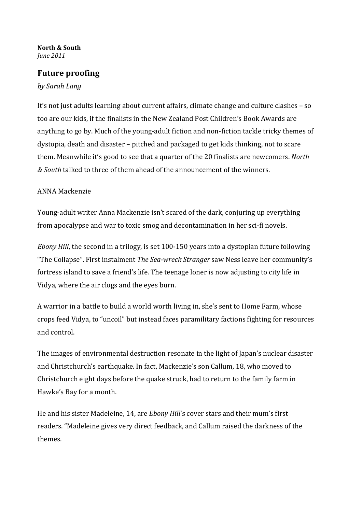## North & South June 2011

## **Future proofing**

## by Sarah Lang

It's not just adults learning about current affairs, climate change and culture clashes – so too are our kids, if the finalists in the New Zealand Post Children's Book Awards are anything to go by. Much of the young-adult fiction and non-fiction tackle tricky themes of dystopia, death and disaster – pitched and packaged to get kids thinking, not to scare them. Meanwhile it's good to see that a quarter of the 20 finalists are newcomers. North & South talked to three of them ahead of the announcement of the winners.

## ANNA Mackenzie

Young-adult writer Anna Mackenzie isn't scared of the dark, conjuring up everything from apocalypse and war to toxic smog and decontamination in her sci-fi novels.

*Ebony Hill*, the second in a trilogy, is set 100-150 years into a dystopian future following "The Collapse". First instalment The Sea-wreck Stranger saw Ness leave her community's fortress island to save a friend's life. The teenage loner is now adjusting to city life in Vidya, where the air clogs and the eyes burn.

A warrior in a battle to build a world worth living in, she's sent to Home Farm, whose crops feed Vidya, to "uncoil" but instead faces paramilitary factions fighting for resources and control.

The images of environmental destruction resonate in the light of Japan's nuclear disaster and Christchurch's earthquake. In fact, Mackenzie's son Callum, 18, who moved to Christchurch eight days before the quake struck, had to return to the family farm in Hawke's Bay for a month.

He and his sister Madeleine, 14, are *Ebony Hill's* cover stars and their mum's first readers. "Madeleine gives very direct feedback, and Callum raised the darkness of the themes